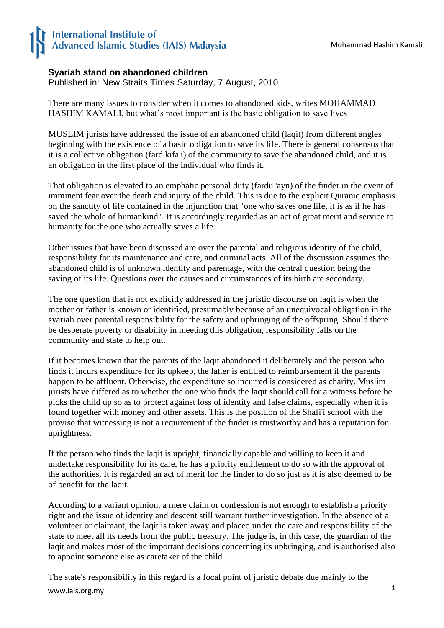## **International Institute of Advanced Islamic Studies (IAIS) Malaysia**

## **Syariah stand on abandoned children**

Published in: New Straits Times Saturday, 7 August, 2010

There are many issues to consider when it comes to abandoned kids, writes MOHAMMAD HASHIM KAMALI, but what's most important is the basic obligation to save lives

MUSLIM jurists have addressed the issue of an abandoned child (laqit) from different angles beginning with the existence of a basic obligation to save its life. There is general consensus that it is a collective obligation (fard kifa'i) of the community to save the abandoned child, and it is an obligation in the first place of the individual who finds it.

That obligation is elevated to an emphatic personal duty (fardu 'ayn) of the finder in the event of imminent fear over the death and injury of the child. This is due to the explicit Quranic emphasis on the sanctity of life contained in the injunction that "one who saves one life, it is as if he has saved the whole of humankind". It is accordingly regarded as an act of great merit and service to humanity for the one who actually saves a life.

Other issues that have been discussed are over the parental and religious identity of the child, responsibility for its maintenance and care, and criminal acts. All of the discussion assumes the abandoned child is of unknown identity and parentage, with the central question being the saving of its life. Questions over the causes and circumstances of its birth are secondary.

The one question that is not explicitly addressed in the juristic discourse on laqit is when the mother or father is known or identified, presumably because of an unequivocal obligation in the syariah over parental responsibility for the safety and upbringing of the offspring. Should there be desperate poverty or disability in meeting this obligation, responsibility falls on the community and state to help out.

If it becomes known that the parents of the laqit abandoned it deliberately and the person who finds it incurs expenditure for its upkeep, the latter is entitled to reimbursement if the parents happen to be affluent. Otherwise, the expenditure so incurred is considered as charity. Muslim jurists have differed as to whether the one who finds the laqit should call for a witness before he picks the child up so as to protect against loss of identity and false claims, especially when it is found together with money and other assets. This is the position of the Shafi'i school with the proviso that witnessing is not a requirement if the finder is trustworthy and has a reputation for uprightness.

If the person who finds the laqit is upright, financially capable and willing to keep it and undertake responsibility for its care, he has a priority entitlement to do so with the approval of the authorities. It is regarded an act of merit for the finder to do so just as it is also deemed to be of benefit for the laqit.

According to a variant opinion, a mere claim or confession is not enough to establish a priority right and the issue of identity and descent still warrant further investigation. In the absence of a volunteer or claimant, the laqit is taken away and placed under the care and responsibility of the state to meet all its needs from the public treasury. The judge is, in this case, the guardian of the laqit and makes most of the important decisions concerning its upbringing, and is authorised also to appoint someone else as caretaker of the child.

www.iais.org.my The state's responsibility in this regard is a focal point of juristic debate due mainly to the